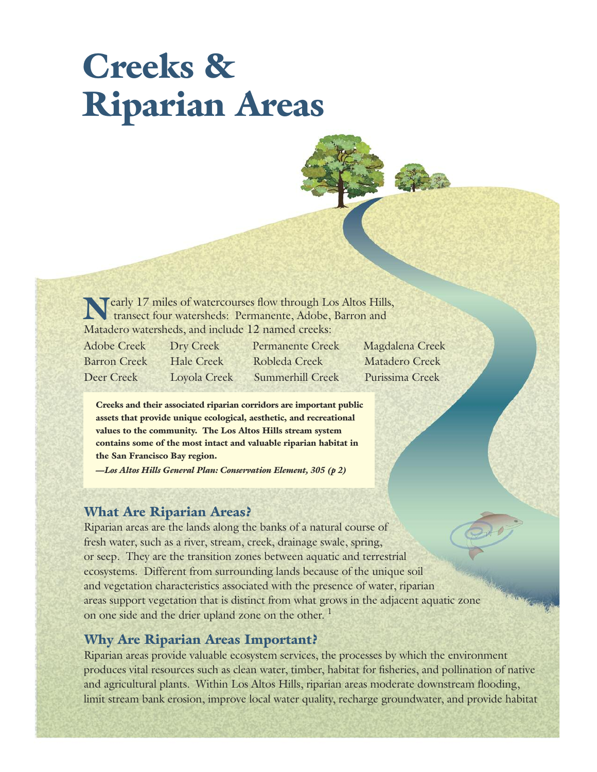# **Creeks & Riparian Areas**

**Nearly 17 miles of watercourses flow through Los Altos Hills,** transect four watersheds: Permanente, Adobe, Barron and Matadero watersheds, and include 12 named creeks:

Adobe Creek Dry Creek Permanente Creek Magdalena Creek Barron Creek Hale Creek Robleda Creek Matadero Creek Deer Creek Loyola Creek Summerhill Creek Purissima Creek

**Creeks and their associated riparian corridors are important public assets that provide unique ecological, aesthetic, and recreational values to the community. The Los Altos Hills stream system contains some of the most intact and valuable riparian habitat in the San Francisco Bay region.**

*—Los Altos Hills General Plan: Conservation Element, 305 (p 2)*

## **What Are Riparian Areas?**

Riparian areas are the lands along the banks of a natural course of fresh water, such as a river, stream, creek, drainage swale, spring, or seep. They are the transition zones between aquatic and terrestrial ecosystems. Different from surrounding lands because of the unique soil and vegetation characteristics associated with the presence of water, riparian areas support vegetation that is distinct from what grows in the adjacent aquatic zone on one side and the drier upland zone on the other.<sup>1</sup>

## **Why Are Riparian Areas Important?**

Riparian areas provide valuable ecosystem services, the processes by which the environment produces vital resources such as clean water, timber, habitat for fisheries, and pollination of native and agricultural plants. Within Los Altos Hills, riparian areas moderate downstream flooding, limit stream bank erosion, improve local water quality, recharge groundwater, and provide habitat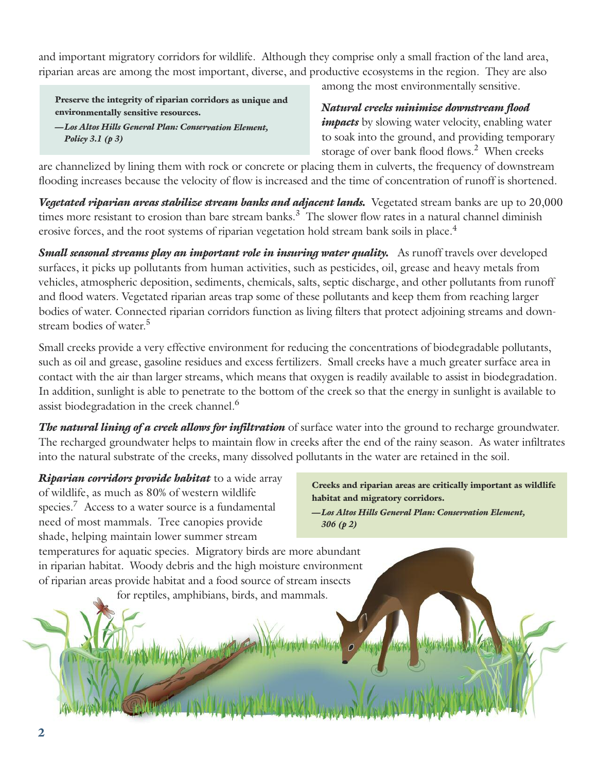and important migratory corridors for wildlife. Although they comprise only a small fraction of the land area, riparian areas are among the most important, diverse, and productive ecosystems in the region. They are also

**Preserve the integrity of riparian corridors as unique and environmentally sensitive resources.** *—Los Altos Hills General Plan: Conservation Element, Policy 3.1 (p 3)*

among the most environmentally sensitive.

*Natural creeks minimize downstream flood impacts* by slowing water velocity, enabling water to soak into the ground, and providing temporary storage of over bank flood flows. <sup>2</sup> When creeks

are channelized by lining them with rock or concrete or placing them in culverts, the frequency of downstream flooding increases because the velocity of flow is increased and the time of concentration of runoff is shortened.

*Vegetated riparian areas stabilize stream banks and adjacent lands.* Vegetated stream banks are up to 20,000 times more resistant to erosion than bare stream banks.<sup>3</sup> The slower flow rates in a natural channel diminish erosive forces, and the root systems of riparian vegetation hold stream bank soils in place.<sup>4</sup>

*Small seasonal streams play an important role in insuring water quality.* As runoff travels over developed surfaces, it picks up pollutants from human activities, such as pesticides, oil, grease and heavy metals from vehicles, atmospheric deposition, sediments, chemicals, salts, septic discharge, and other pollutants from runoff and flood waters. Vegetated riparian areas trap some of these pollutants and keep them from reaching larger bodies of water. Connected riparian corridors function as living filters that protect adjoining streams and downstream bodies of water. 5

Small creeks provide a very effective environment for reducing the concentrations of biodegradable pollutants, such as oil and grease, gasoline residues and excess fertilizers. Small creeks have a much greater surface area in contact with the air than larger streams, which means that oxygen is readily available to assist in biodegradation. In addition, sunlight is able to penetrate to the bottom of the creek so that the energy in sunlight is available to assist biodegradation in the creek channel. 6

*The natural lining of a creek allows for infiltration* of surface water into the ground to recharge groundwater. The recharged groundwater helps to maintain flow in creeks after the end of the rainy season. As water infiltrates into the natural substrate of the creeks, many dissolved pollutants in the water are retained in the soil.

*Riparian corridors provide habitat* to a wide array of wildlife, as much as 80% of western wildlife species.<sup>7</sup> Access to a water source is a fundamental need of most mammals. Tree canopies provide shade, helping maintain lower summer stream

**Creeks and riparian areas are critically important as wildlife habitat and migratory corridors.**

*—Los Altos Hills General Plan: Conservation Element, 306 (p 2)*

temperatures for aquatic species. Migratory birds are more abundant in riparian habitat. Woody debris and the high moisture environment of riparian areas provide habitat and a food source of stream insects for reptiles, amphibians, birds, and mammals.

**2**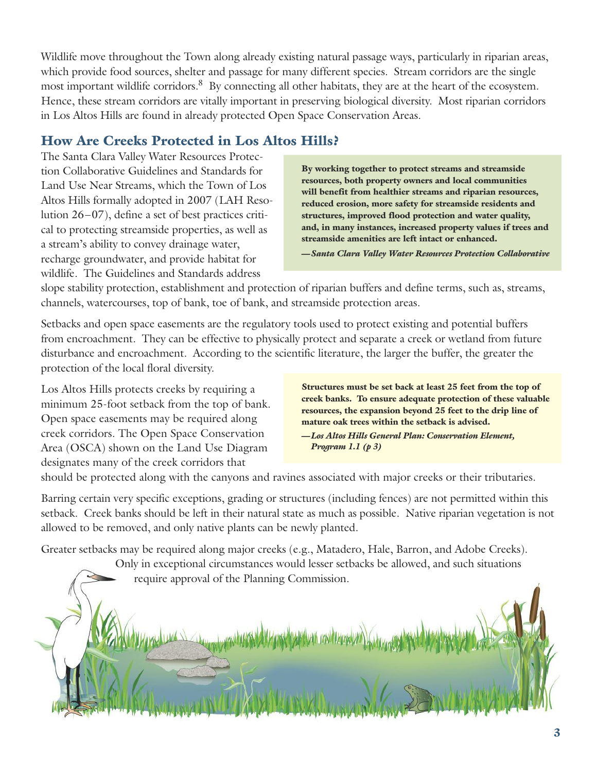Wildlife move throughout the Town along already existing natural passage ways, particularly in riparian areas, which provide food sources, shelter and passage for many different species. Stream corridors are the single most important wildlife corridors. <sup>8</sup> By connecting all other habitats, they are at the heart of the ecosystem. Hence, these stream corridors are vitally important in preserving biological diversity. Most riparian corridors in Los Altos Hills are found in already protected Open Space Conservation Areas.

## **How Are Creeks Protected in Los Altos Hills?**

The Santa Clara Valley Water Resources Protection Collaborative Guidelines and Standards for Land Use Near Streams, which the Town of Los Altos Hills formally adopted in 2007 (LAH Resolution 26–07), define a set of best practices critical to protecting streamside properties, as well as a stream's ability to convey drainage water, recharge groundwater, and provide habitat for wildlife. The Guidelines and Standards address

**By working together to protect streams and streamside resources, both property owners and local communities will benefit from healthier streams and riparian resources, reduced erosion, more safety for streamside residents and structures, improved flood protection and water quality, and, in many instances, increased property values if trees and streamside amenities are left intact or enhanced.**

*—Santa Clara Valley Water Resources Protection Collaborative*

slope stability protection, establishment and protection of riparian buffers and define terms, such as, streams, channels, watercourses, top of bank, toe of bank, and streamside protection areas.

Setbacks and open space easements are the regulatory tools used to protect existing and potential buffers from encroachment. They can be effective to physically protect and separate a creek or wetland from future disturbance and encroachment. According to the scientific literature, the larger the buffer, the greater the protection of the local floral diversity.

Los Altos Hills protects creeks by requiring a minimum 25-foot setback from the top of bank. Open space easements may be required along creek corridors. The Open Space Conservation Area (OSCA) shown on the Land Use Diagram designates many of the creek corridors that

**Structures must be set back at least 25 feet from the top of creek banks. To ensure adequate protection of these valuable resources, the expansion beyond 25 feet to the drip line of mature oak trees within the setback is advised.**

*—Los Altos Hills General Plan: Conservation Element, Program 1.1 (p 3)*

should be protected along with the canyons and ravines associated with major creeks or their tributaries.

Barring certain very specific exceptions, grading or structures (including fences) are not permitted within this setback. Creek banks should be left in their natural state as much as possible. Native riparian vegetation is not allowed to be removed, and only native plants can be newly planted.

Greater setbacks may be required along major creeks (e.g., Matadero, Hale, Barron, and Adobe Creeks).

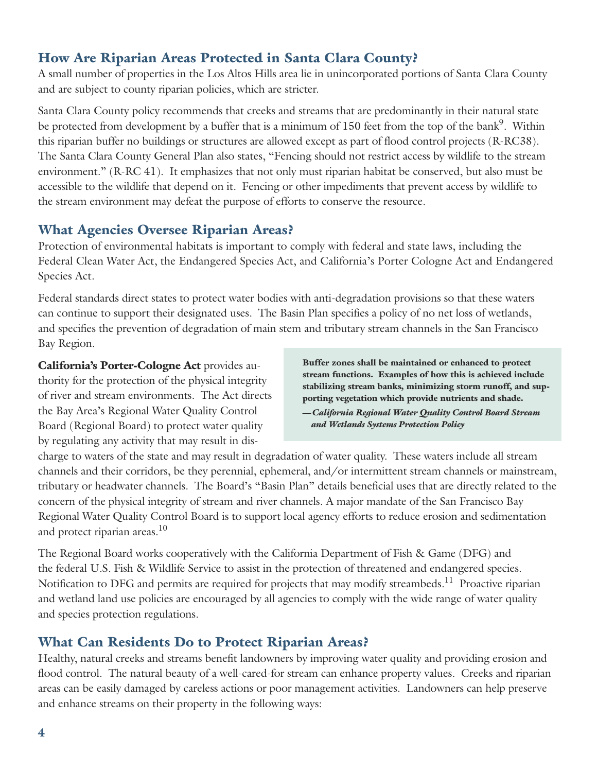## **How Are Riparian Areas Protected in Santa Clara County?**

A small number of properties in the Los Altos Hills area lie in unincorporated portions of Santa Clara County and are subject to county riparian policies, which are stricter.

Santa Clara County policy recommends that creeks and streams that are predominantly in their natural state be protected from development by a buffer that is a minimum of 150 feet from the top of the bank<sup>9</sup>. Within this riparian buffer no buildings or structures are allowed except as part of flood control projects (R-RC38). The Santa Clara County General Plan also states, "Fencing should not restrict access by wildlife to the stream environment." (R-RC 41). It emphasizes that not only must riparian habitat be conserved, but also must be accessible to the wildlife that depend on it. Fencing or other impediments that prevent access by wildlife to the stream environment may defeat the purpose of efforts to conserve the resource.

## **What Agencies Oversee Riparian Areas?**

Protection of environmental habitats is important to comply with federal and state laws, including the Federal Clean Water Act, the Endangered Species Act, and California's Porter Cologne Act and Endangered Species Act.

Federal standards direct states to protect water bodies with anti-degradation provisions so that these waters can continue to support their designated uses. The Basin Plan specifies a policy of no net loss of wetlands, and specifies the prevention of degradation of main stem and tributary stream channels in the San Francisco Bay Region.

**California's Porter-Cologne Act** provides authority for the protection of the physical integrity of river and stream environments. The Act directs the Bay Area's Regional Water Quality Control Board (Regional Board) to protect water quality by regulating any activity that may result in dis**Buffer zones shall be maintained or enhanced to protect stream functions. Examples of how this is achieved include stabilizing stream banks, minimizing storm runoff, and supporting vegetation which provide nutrients and shade.**

*—California Regional Water Quality Control Board Stream and Wetlands Systems Protection Policy*

charge to waters of the state and may result in degradation of water quality. These waters include all stream channels and their corridors, be they perennial, ephemeral, and/or intermittent stream channels or mainstream, tributary or headwater channels. The Board's "Basin Plan" details beneficial uses that are directly related to the concern of the physical integrity of stream and river channels. A major mandate of the San Francisco Bay Regional Water Quality Control Board is to support local agency efforts to reduce erosion and sedimentation and protect riparian areas. 10

The Regional Board works cooperatively with the California Department of Fish & Game (DFG) and the federal U.S. Fish & Wildlife Service to assist in the protection of threatened and endangered species. Notification to DFG and permits are required for projects that may modify streambeds.<sup>11</sup> Proactive riparian and wetland land use policies are encouraged by all agencies to comply with the wide range of water quality and species protection regulations.

## **What Can Residents Do to Protect Riparian Areas?**

Healthy, natural creeks and streams benefit landowners by improving water quality and providing erosion and flood control. The natural beauty of a well-cared-for stream can enhance property values. Creeks and riparian areas can be easily damaged by careless actions or poor management activities. Landowners can help preserve and enhance streams on their property in the following ways: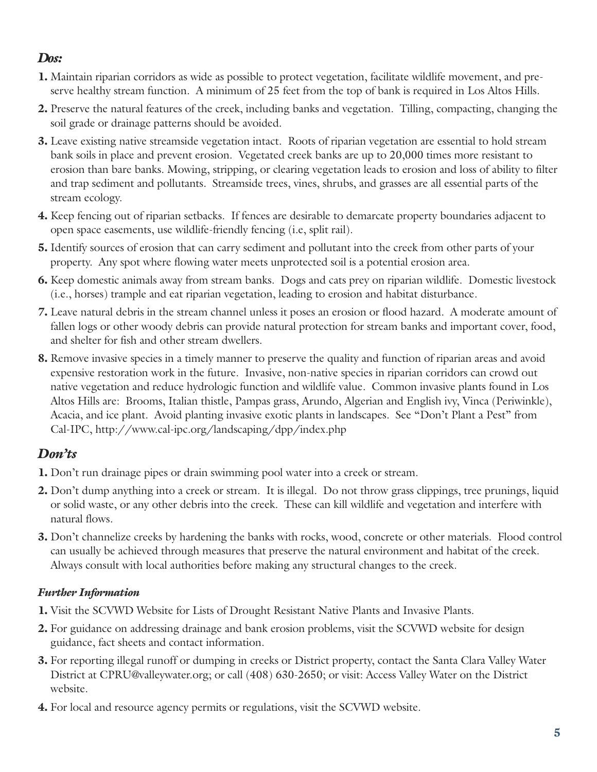## *Dos:*

- **1.** Maintain riparian corridors as wide as possible to protect vegetation, facilitate wildlife movement, and preserve healthy stream function. A minimum of 25 feet from the top of bank is required in Los Altos Hills.
- **2.** Preserve the natural features of the creek, including banks and vegetation. Tilling, compacting, changing the soil grade or drainage patterns should be avoided.
- **3.** Leave existing native streamside vegetation intact. Roots of riparian vegetation are essential to hold stream bank soils in place and prevent erosion. Vegetated creek banks are up to 20,000 times more resistant to erosion than bare banks. Mowing, stripping, or clearing vegetation leads to erosion and loss of ability to filter and trap sediment and pollutants. Streamside trees, vines, shrubs, and grasses are all essential parts of the stream ecology.
- **4.** Keep fencing out of riparian setbacks. If fences are desirable to demarcate property boundaries adjacent to open space easements, use wildlife-friendly fencing (i.e, split rail).
- **5.** Identify sources of erosion that can carry sediment and pollutant into the creek from other parts of your property. Any spot where flowing water meets unprotected soil is a potential erosion area.
- **6.** Keep domestic animals away from stream banks. Dogs and cats prey on riparian wildlife. Domestic livestock (i.e., horses) trample and eat riparian vegetation, leading to erosion and habitat disturbance.
- **7.** Leave natural debris in the stream channel unless it poses an erosion or flood hazard. A moderate amount of fallen logs or other woody debris can provide natural protection for stream banks and important cover, food, and shelter for fish and other stream dwellers.
- **8.** Remove invasive species in a timely manner to preserve the quality and function of riparian areas and avoid expensive restoration work in the future. Invasive, non-native species in riparian corridors can crowd out native vegetation and reduce hydrologic function and wildlife value. Common invasive plants found in Los Altos Hills are: Brooms, Italian thistle, Pampas grass, Arundo, Algerian and English ivy, Vinca (Periwinkle), Acacia, and ice plant. Avoid planting invasive exotic plants in landscapes. See "Don't Plant a Pest" from Cal-IPC, http://www.cal-ipc.org/landscaping/dpp/index.php

## *Don'ts*

- **1.** Don't run drainage pipes or drain swimming pool water into a creek or stream.
- **2.** Don't dump anything into a creek or stream. It is illegal. Do not throw grass clippings, tree prunings, liquid or solid waste, or any other debris into the creek. These can kill wildlife and vegetation and interfere with natural flows.
- **3.** Don't channelize creeks by hardening the banks with rocks, wood, concrete or other materials. Flood control can usually be achieved through measures that preserve the natural environment and habitat of the creek. Always consult with local authorities before making any structural changes to the creek.

## *Further Information*

- **1.** Visit the SCVWD Website for Lists of Drought Resistant Native Plants and Invasive Plants.
- **2.** For guidance on addressing drainage and bank erosion problems, visit the SCVWD website for design guidance, fact sheets and contact information.
- **3.** For reporting illegal runoff or dumping in creeks or District property, contact the Santa Clara Valley Water District at CPRU@valleywater.org; or call (408) 630-2650; or visit: Access Valley Water on the District website.
- **4.** For local and resource agency permits or regulations, visit the SCVWD website.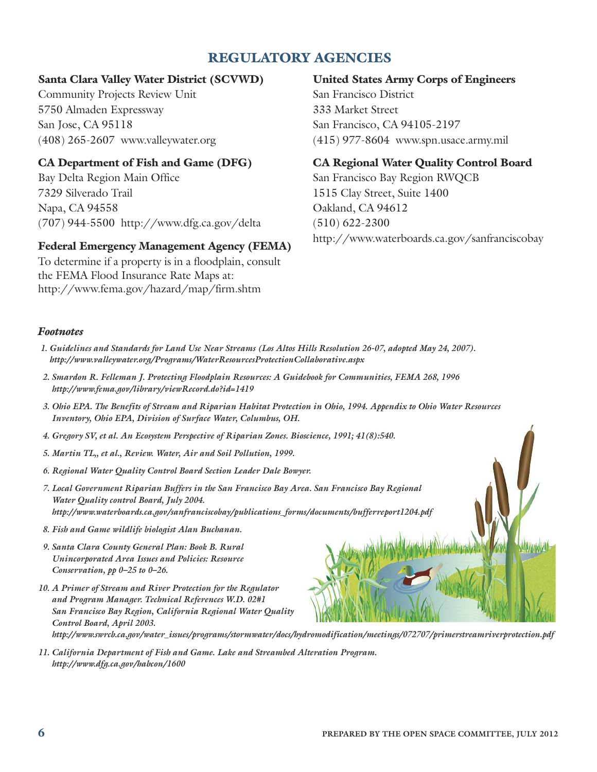## **REGULATORY AGENCIES**

## **Santa Clara Valley Water District (SCVWD)**

Community Projects Review Unit 5750 Almaden Expressway San Jose, CA 95118 (408) 265-2607 www.valleywater.org

## **CA Department of Fish and Game (DFG)**

Bay Delta Region Main Office 7329 Silverado Trail Napa, CA 94558 (707) 944-5500 http://www.dfg.ca.gov/delta

## **Federal Emergency Management Agency (FEMA)**

To determine if a property is in a floodplain, consult the FEMA Flood Insurance Rate Maps at: http://www.fema.gov/hazard/map/firm.shtm

## **United States Army Corps of Engineers**

San Francisco District 333 Market Street San Francisco, CA 94105-2197 (415) 977-8604 www.spn.usace.army.mil

### **CA Regional Water Quality Control Board**

San Francisco Bay Region RWQCB 1515 Clay Street, Suite 1400 Oakland, CA 94612 (510) 622-2300 http://www.waterboards.ca.gov/sanfranciscobay

#### *Footnotes*

- 1. Guidelines and Standards for Land Use Near Streams (Los Altos Hills Resolution 26-07, adopted May 24, 2007). *http://www.valleywater.org/Programs/WaterResourcesProtectionCollaborative.aspx*
- *2. Smardon R. Felleman J. Protecting Floodplain Resources: A Guidebook for Communities, FEMA 268, 1996 http://www.fema.gov/library/viewRecord.do?id=1419*
- 3. Ohio EPA. The Benefits of Stream and Riparian Habitat Protection in Ohio, 1994. Appendix to Ohio Water Resources *Inventory, Ohio EPA, Division of Surface Water, Columbus, OH.*
- *4. Gregory SV, et al. An Ecosystem Perspective of Riparian Zones. Bioscience, 1991; 41(8):540.*
- *5. Martin TL,, et al., Review. Water, Air and Soil Pollution, 1999.*
- *6. Regional Water Quality Control Board Section Leader Dale Bowyer.*
- *7. Local Government Riparian Buffers in the San Francisco Bay Area. San Francisco Bay Regional Water Quality control Board, July 2004. http://www.waterboards.ca.gov/sanfranciscobay/publications\_forms/documents/bufferreport1204.pdf*
- *8. Fish and Game wildlife biologist Alan Buchanan.*
- *9. Santa Clara County General Plan: Book B. Rural Unincorporated Area Issues and Policies: Resource Conservation, pp 0–25 to 0–26.*
- *10. A Primer of Stream and River Protection for the Regulator and Program Manager. Technical References W.D. 02#1 San Francisco Bay Region, California Regional Water Quality Control Board, April 2003.*

*http://www.swrcb.ca.gov/water\_issues/programs/stormwater/docs/hydromodification/meetings/072707/primerstreamriverprotection.pdf*

*11. California Department of Fish and Game. Lake and Streambed Alteration Program. http://www.dfg.ca.gov/habcon/1600*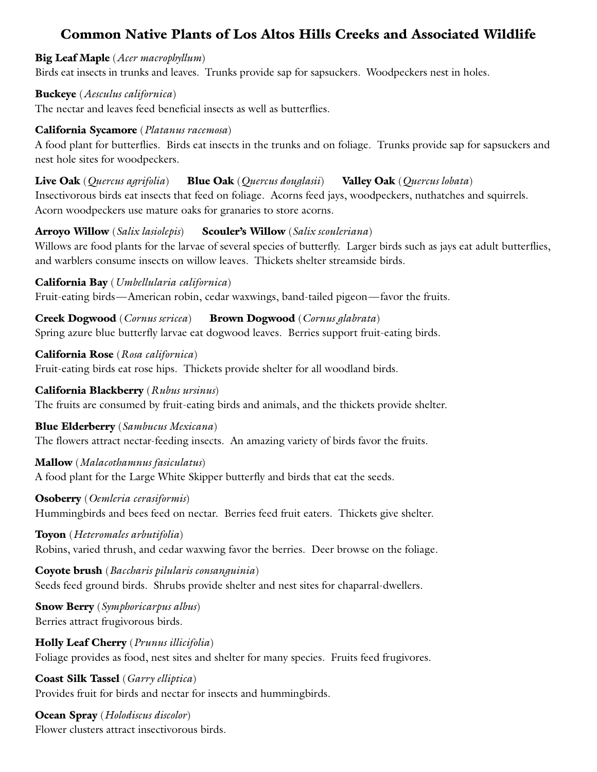## **Common Native Plants of Los Altos Hills Creeks and Associated Wildlife**

#### **Big Leaf Maple** (*Acer macrophyllum*)

Birds eat insects in trunks and leaves. Trunks provide sap for sapsuckers. Woodpeckers nest in holes.

### **Buckeye** (*Aesculus californica*)

The nectar and leaves feed beneficial insects as well as butterflies.

### **California Sycamore** (*Platanus racemosa*)

A food plant for butterflies. Birds eat insects in the trunks and on foliage. Trunks provide sap for sapsuckers and nest hole sites for woodpeckers.

#### **Live Oak** (*Quercus agrifolia*) **Blue Oak** (*Quercus douglasii*) **Valley Oak** (*Quercus lobata*)

Insectivorous birds eat insects that feed on foliage. Acorns feed jays, woodpeckers, nuthatches and squirrels. Acorn woodpeckers use mature oaks for granaries to store acorns.

## **Arroyo Willow** (*Salix lasiolepis*) **Scouler's Willow** (*Salix scouleriana*)

Willows are food plants for the larvae of several species of butterfly. Larger birds such as jays eat adult butterflies, and warblers consume insects on willow leaves. Thickets shelter streamside birds.

## **California Bay** (*Umbellularia californica*)

Fruit-eating birds—American robin, cedar waxwings, band-tailed pigeon—favor the fruits.

**Creek Dogwood** (*Cornus sericea*) **Brown Dogwood** (*Cornus glabrata*) Spring azure blue butterfly larvae eat dogwood leaves. Berries support fruit-eating birds.

**California Rose** (*Rosa californica*) Fruit-eating birds eat rose hips. Thickets provide shelter for all woodland birds.

### **California Blackberry** (*Rubus ursinus*)

The fruits are consumed by fruit-eating birds and animals, and the thickets provide shelter.

#### **Blue Elderberry** (*Sambucus Mexicana*)

The flowers attract nectar-feeding insects. An amazing variety of birds favor the fruits.

#### **Mallow** (*Malacothamnus fasiculatus*)

A food plant for the Large White Skipper butterfly and birds that eat the seeds.

## **Osoberry** (*Oemleria cerasiformis*)

Hummingbirds and bees feed on nectar. Berries feed fruit eaters. Thickets give shelter.

## **Toyon** (*Heteromales arbutifolia*)

Robins, varied thrush, and cedar waxwing favor the berries. Deer browse on the foliage.

## **Coyote brush** (*Baccharis pilularis consanguinia*) Seeds feed ground birds. Shrubs provide shelter and nest sites for chaparral-dwellers.

**Snow Berry** (*Symphoricarpus albus*) Berries attract frugivorous birds.

**Holly Leaf Cherry** (*Prunus illicifolia*) Foliage provides as food, nest sites and shelter for many species. Fruits feed frugivores.

**Coast Silk Tassel** (*Garry elliptica*) Provides fruit for birds and nectar for insects and hummingbirds.

# **Ocean Spray** (*Holodiscus discolor*)

Flower clusters attract insectivorous birds.